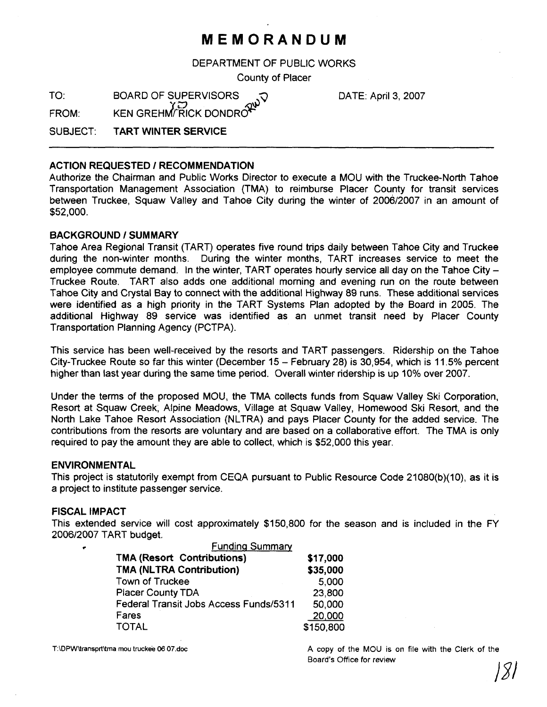# **MEMORANDUM**

DEPARTMENT OF PUBLIC WORKS

County of Placer

TO: BOARD OF SUPERVISORS CONSTRUIT ON THE April 3, 2007  $F$ ROM: KEN GREHM $\widetilde{F}$ RICK DONDRO

SUBJECT: **TART WINTER SERVICE** 

# **ACTION REQUESTED** / **RECOMMENDATION**

Authorize the Chairman and Public Works Director to execute a MOU with the Truckee-North Tahoe Transportation Management Association (TMA) to reimburse Placer County for transit services between Truckee, Squaw Valley and Tahoe City during the winter of 2006/2007 in an amount of \$52,000.

# **BACKGROUND / SUMMARY**

Tahoe Area Regional Transit (TART) operates five round trips daily between Tahoe City and Truckee during the non-winter months. During the winter months, TART increases service to meet the employee commute demand. In the winter, TART operates hourly service all day on the Tahoe City -Truckee Route. TART also adds one additional morning and evening run on the route between Tahoe City and Crystal Bay to connect with the additional Highway 89 runs. These additional services were identified as a high priority in the TART Systems Plan adopted by the Board in 2005. The additional Highway 89 service was identified as an unmet transit need by Placer County Transportation Planning Agency (PCTPA).

This service has been well-received by the resorts and TART passengers. Ridership on the Tahoe City-Truckee Route so far this winter (December **15** - February 28) is 30,954, which is 11.5% percent higher than last year during the same time period. Overall winter ridership is up 10% over 2007.

Under the terms of the proposed MOU, the TMA collects funds from Squaw Valley Ski Corporation, Resort at Squaw Creek, Alpine Meadows, Village at Squaw Valley, Homewood Ski Resort, and the North Lake Tahoe Resort Association (NLTRA) and pays Placer County for the added service. The contributions from the resorts are voluntary and are based on a collaborative effort. The TMA is only required to pay the amount they are able to collect, which is \$52,000 this year.

### **ENVIRONMENTAL**

This project is statutorily exempt from CEQA pursuant to Public Resource Code 21080(b)(10), as it is a project to institute passenger service.

### **FISCAL IMPACT**

This extended service will cost approximately \$150,800 for the season and is included in the FY 200612007 TART budget.

| <b>Funding Summary</b>                 |           |
|----------------------------------------|-----------|
| <b>TMA (Resort Contributions)</b>      | \$17,000  |
| <b>TMA (NLTRA Contribution)</b>        | \$35,000  |
| Town of Truckee                        | 5,000     |
| <b>Placer County TDA</b>               | 23,800    |
| Federal Transit Jobs Access Funds/5311 | 50,000    |
| Fares                                  | 20,000    |
| <b>TOTAL</b>                           | \$150,800 |

**T:\DPW\transprt\tma mou truckee 06 07.doc A copy of the MOU** is on file with the Clerk of the **~oard's** Office for review